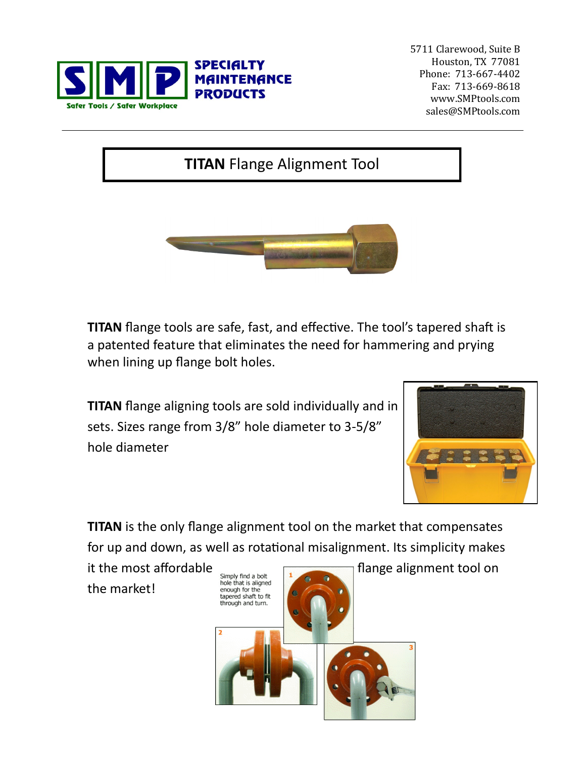

5711 Clarewood, Suite B Houston, TX 77081 Phone: 713-667-4402 Fax: 713-669-8618 www.SMPtools.com sales@SMPtools.com

## **TITAN** Flange Alignment Tool



**TITAN** flange tools are safe, fast, and effective. The tool's tapered shaft is a patented feature that eliminates the need for hammering and prying when lining up flange bolt holes.

**TITAN** flange aligning tools are sold individually and in sets. Sizes range from 3/8" hole diameter to 3-5/8" hole diameter



**TITAN** is the only flange alignment tool on the market that compensates for up and down, as well as rotational misalignment. Its simplicity makes

the market!

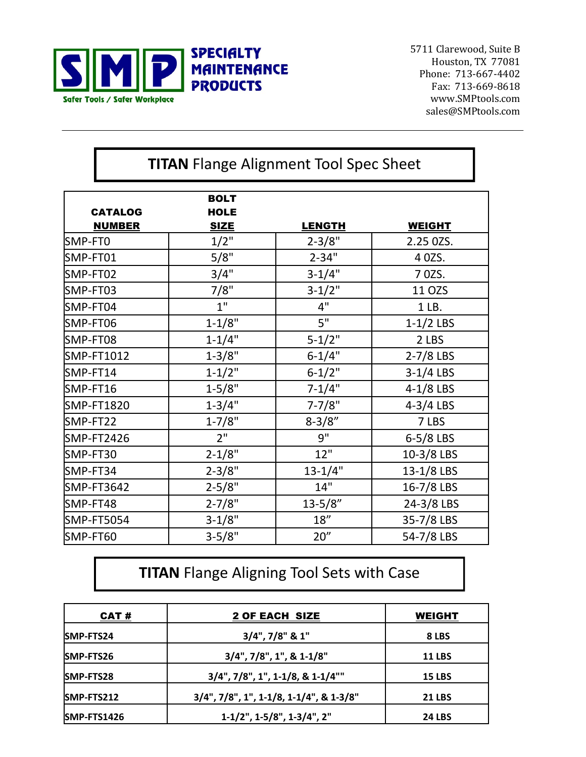

5711 Clarewood, Suite B Houston, TX 77081 Phone: 713-667-4402 Fax: 713-669-8618 www.SMPtools.com sales@SMPtools.com

| <b>TITAN</b> Flange Alignment Tool Spec Sheet |                                           |               |               |  |  |
|-----------------------------------------------|-------------------------------------------|---------------|---------------|--|--|
| <b>CATALOG</b><br><b>NUMBER</b>               | <b>BOLT</b><br><b>HOLE</b><br><b>SIZE</b> | <b>LENGTH</b> | <b>WEIGHT</b> |  |  |
| SMP-FT0                                       | 1/2"                                      | $2 - 3/8"$    | 2.25 0ZS.     |  |  |
| SMP-FT01                                      | 5/8"                                      | $2 - 34"$     | 4 0 ZS.       |  |  |
| SMP-FT02                                      | 3/4"                                      | $3-1/4"$      | 7 0 ZS.       |  |  |
| SMP-FT03                                      | 7/8"                                      | $3-1/2"$      | 11 OZS        |  |  |
| SMP-FT04                                      | 1"                                        | 4"            | 1 LB.         |  |  |
| SMP-FT06                                      | $1 - 1/8"$                                | 5"            | $1-1/2$ LBS   |  |  |
| SMP-FT08                                      | $1 - 1/4"$                                | $5 - 1/2"$    | 2 LBS         |  |  |
| SMP-FT1012                                    | $1 - 3/8"$                                | $6 - 1/4"$    | $2-7/8$ LBS   |  |  |
| SMP-FT14                                      | $1 - 1/2"$                                | $6 - 1/2"$    | $3-1/4$ LBS   |  |  |
| SMP-FT16                                      | $1 - 5/8"$                                | $7 - 1/4"$    | $4-1/8$ LBS   |  |  |
| <b>SMP-FT1820</b>                             | $1 - 3/4"$                                | $7 - 7/8"$    | $4-3/4$ LBS   |  |  |
| SMP-FT22                                      | $1 - 7/8"$                                | $8 - 3/8"$    | 7 LBS         |  |  |
| SMP-FT2426                                    | 2"                                        | 9"            | $6-5/8$ LBS   |  |  |
| SMP-FT30                                      | $2 - 1/8"$                                | 12"           | 10-3/8 LBS    |  |  |
| SMP-FT34                                      | $2 - 3/8"$                                | $13 - 1/4"$   | 13-1/8 LBS    |  |  |
| SMP-FT3642                                    | $2 - 5/8"$                                | 14"           | 16-7/8 LBS    |  |  |
| SMP-FT48                                      | $2 - 7/8"$                                | $13 - 5/8"$   | 24-3/8 LBS    |  |  |
| <b>SMP-FT5054</b>                             | $3-1/8"$                                  | 18"           | 35-7/8 LBS    |  |  |
| SMP-FT60                                      | $3 - 5/8"$                                | 20"           | 54-7/8 LBS    |  |  |

## **TITAN** Flange Aligning Tool Sets with Case

| CAT#              | 2 OF EACH SIZE                          | <b>WEIGHT</b> |  |
|-------------------|-----------------------------------------|---------------|--|
| <b>ISMP-FTS24</b> | $3/4$ ", $7/8$ " & 1"                   | 8 LBS         |  |
| SMP-FTS26         | $3/4$ ", $7/8$ ", 1", & 1-1/8"          | <b>11 LBS</b> |  |
| <b>SMP-FTS28</b>  | $3/4$ ", $7/8$ ", 1", 1-1/8, & 1-1/4""  | <b>15 LBS</b> |  |
| <b>SMP-FTS212</b> | 3/4", 7/8", 1", 1-1/8, 1-1/4", & 1-3/8" | <b>21 LBS</b> |  |
| SMP-FTS1426       | $1-1/2$ ", $1-5/8$ ", $1-3/4$ ", $2$ "  | <b>24 LBS</b> |  |